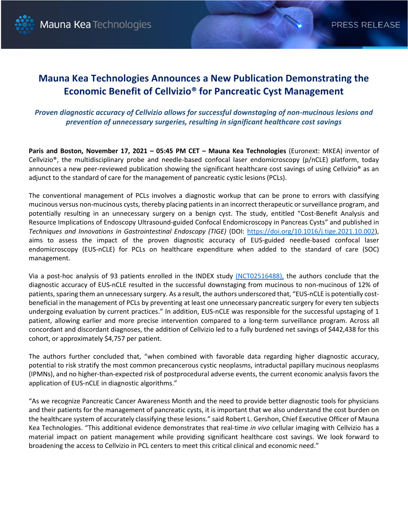

# **Mauna Kea Technologies Announces a New Publication Demonstrating the Economic Benefit of Cellvizio® for Pancreatic Cyst Management**

## *Proven diagnostic accuracy of Cellvizio allows for successful downstaging of non-mucinous lesions and prevention of unnecessary surgeries, resulting in significant healthcare cost savings*

**Paris and Boston, November 17, 2021 – 05:45 PM CET – Mauna Kea Technologies** (Euronext: MKEA) inventor of Cellvizio®, the multidisciplinary probe and needle-based confocal laser endomicroscopy (p/nCLE) platform, today announces a new peer-reviewed publication showing the significant healthcare cost savings of using Cellvizio<sup>®</sup> as an adjunct to the standard of care for the management of pancreatic cystic lesions (PCLs).

The conventional management of PCLs involves a diagnostic workup that can be prone to errors with classifying mucinous versus non-mucinous cysts, thereby placing patients in an incorrect therapeutic or surveillance program, and potentially resulting in an unnecessary surgery on a benign cyst. The study, entitled "Cost-Benefit Analysis and Resource Implications of Endoscopy Ultrasound-guided Confocal Endomicroscopy in Pancreas Cysts" and published in *Techniques and Innovations in Gastrointestinal Endoscopy (TIGE)* (DOI: [https://doi.org/10.1016/j.tige.2021.10.002\)](https://www.tigejournal.org/article/S2590-0307(21)00081-7/fulltext), aims to assess the impact of the proven diagnostic accuracy of EUS-guided needle-based confocal laser endomicroscopy (EUS-nCLE) for PCLs on healthcare expenditure when added to the standard of care (SOC) management.

Via a post-hoc analysis of 93 patients enrolled in the INDEX study [\(NCT02516488\),](https://clinicaltrials.gov/ct2/show/NCT02516488) the authors conclude that the diagnostic accuracy of EUS-nCLE resulted in the successful downstaging from mucinous to non-mucinous of 12% of patients, sparing them an unnecessary surgery. As a result, the authors underscored that, "EUS-nCLE is potentially costbeneficial in the management of PCLs by preventing at least one unnecessary pancreatic surgery for every ten subjects undergoing evaluation by current practices." In addition, EUS-nCLE was responsible for the successful upstaging of 1 patient, allowing earlier and more precise intervention compared to a long-term surveillance program. Across all concordant and discordant diagnoses, the addition of Cellvizio led to a fully burdened net savings of \$442,438 for this cohort, or approximately \$4,757 per patient.

The authors further concluded that, "when combined with favorable data regarding higher diagnostic accuracy, potential to risk stratify the most common precancerous cystic neoplasms, intraductal papillary mucinous neoplasms (IPMNs), and no higher-than-expected risk of postprocedural adverse events, the current economic analysis favors the application of EUS-nCLE in diagnostic algorithms."

"As we recognize Pancreatic Cancer Awareness Month and the need to provide better diagnostic tools for physicians and their patients for the management of pancreatic cysts, it is important that we also understand the cost burden on the healthcare system of accurately classifying these lesions." said Robert L. Gershon, Chief Executive Officer of Mauna Kea Technologies. "This additional evidence demonstrates that real-time *in vivo* cellular imaging with Cellvizio has a material impact on patient management while providing significant healthcare cost savings. We look forward to broadening the access to Cellvizio in PCL centers to meet this critical clinical and economic need."